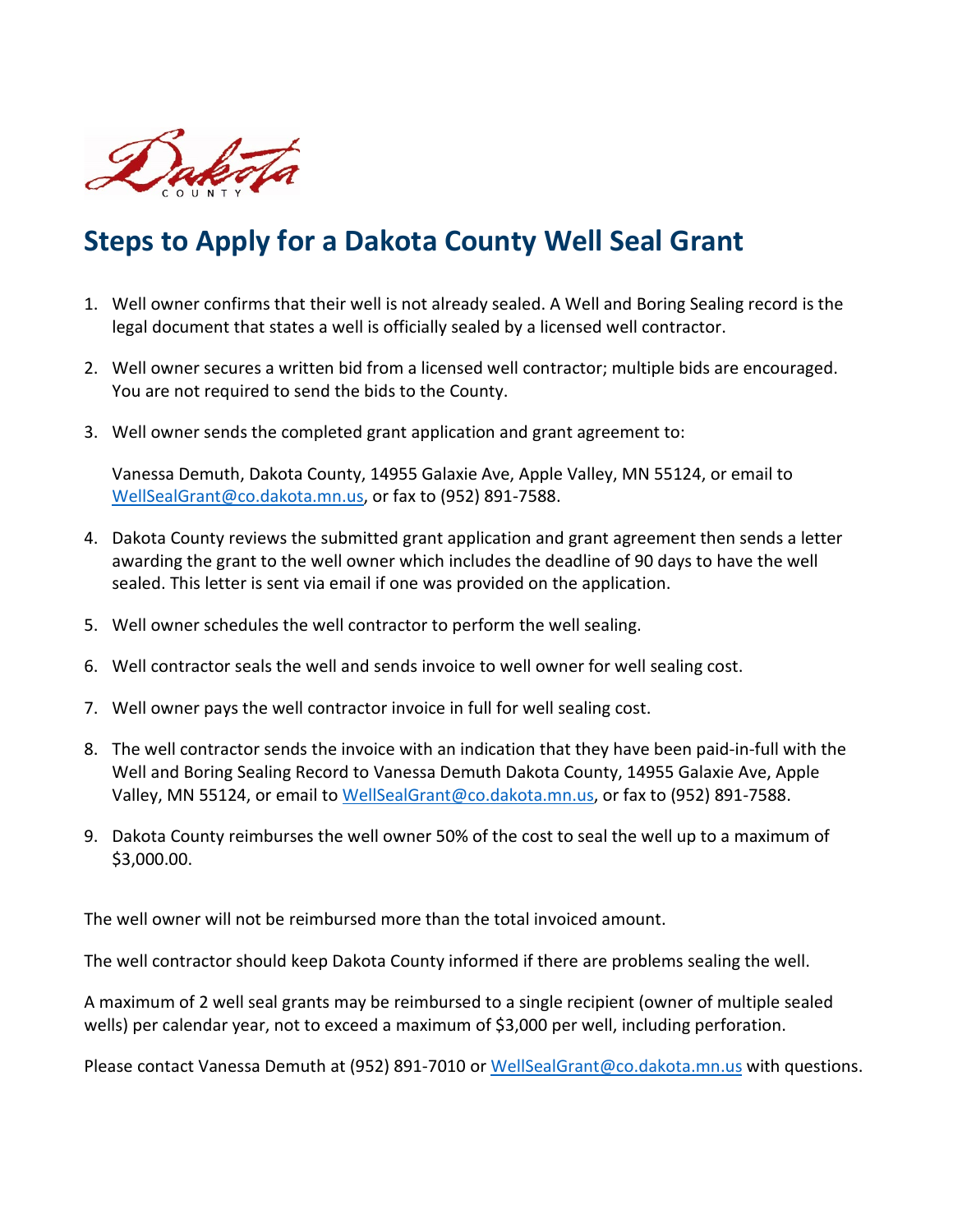

# **Steps to Apply for a Dakota County Well Seal Grant**

- 1. Well owner confirms that their well is not already sealed. A Well and Boring Sealing record is the legal document that states a well is officially sealed by a licensed well contractor.
- 2. Well owner secures a written bid from a licensed well contractor; multiple bids are encouraged. You are not required to send the bids to the County.
- 3. Well owner sends the completed grant application and grant agreement to:

Vanessa Demuth, Dakota County, 14955 Galaxie Ave, Apple Valley, MN 55124, or email to [WellSealGrant@co.dakota.mn.us,](mailto:WellSealGrant@co.dakota.mn.us) or fax to (952) 891-7588.

- 4. Dakota County reviews the submitted grant application and grant agreement then sends a letter awarding the grant to the well owner which includes the deadline of 90 days to have the well sealed. This letter is sent via email if one was provided on the application.
- 5. Well owner schedules the well contractor to perform the well sealing.
- 6. Well contractor seals the well and sends invoice to well owner for well sealing cost.
- 7. Well owner pays the well contractor invoice in full for well sealing cost.
- 8. The well contractor sends the invoice with an indication that they have been paid-in-full with the Well and Boring Sealing Record to Vanessa Demuth Dakota County, 14955 Galaxie Ave, Apple Valley, MN 55124, or email to [WellSealGrant@co.dakota.mn.us,](mailto:WellSealGrant@co.dakota.mn.us) or fax to (952) 891-7588.
- 9. Dakota County reimburses the well owner 50% of the cost to seal the well up to a maximum of \$3,000.00.

The well owner will not be reimbursed more than the total invoiced amount.

The well contractor should keep Dakota County informed if there are problems sealing the well.

A maximum of 2 well seal grants may be reimbursed to a single recipient (owner of multiple sealed wells) per calendar year, not to exceed a maximum of \$3,000 per well, including perforation.

Please contact Vanessa Demuth at (952) 891-7010 or [WellSealGrant@co.dakota.mn.us](mailto:WellSealGrant@co.dakota.mn.us) with questions.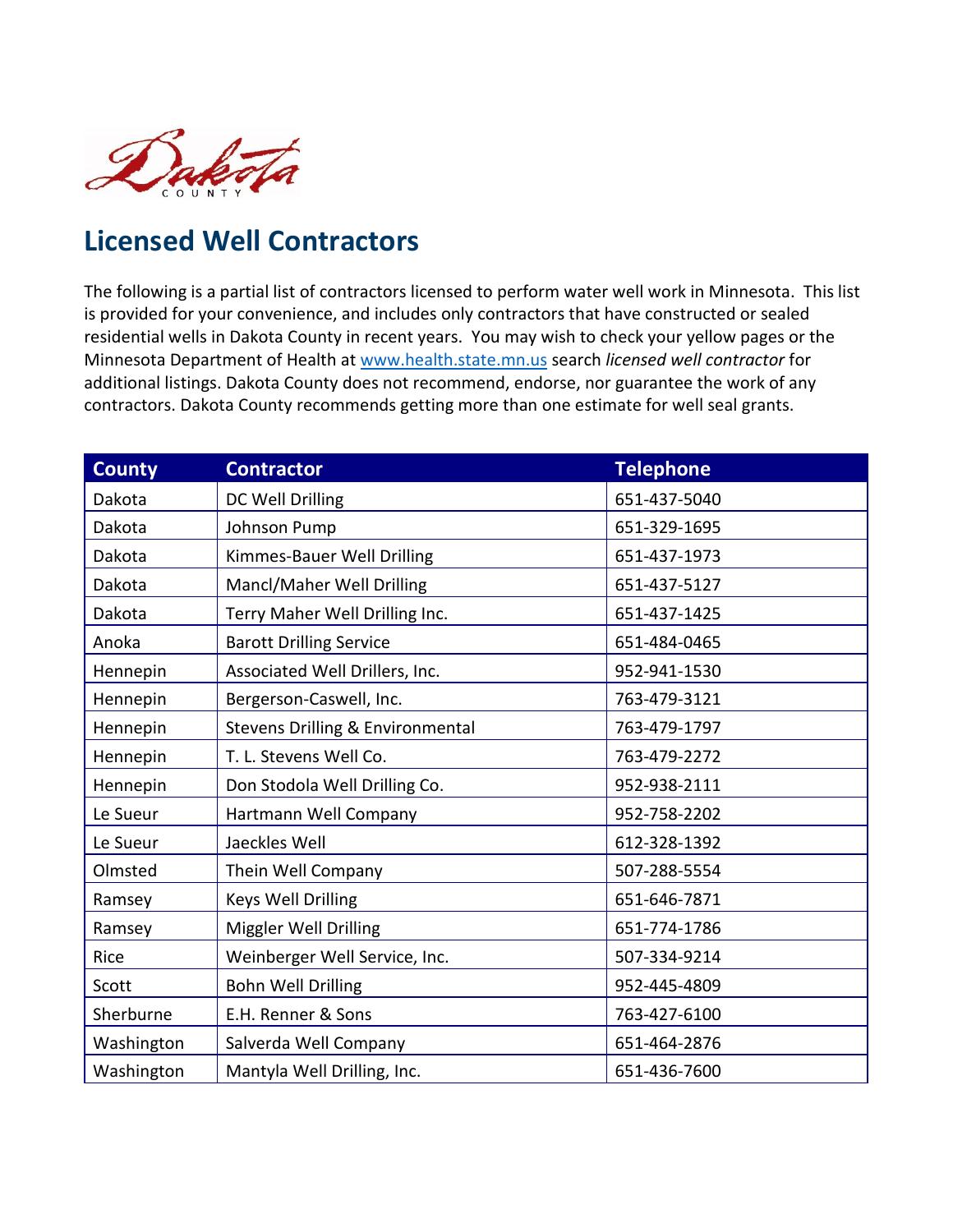

## **Licensed Well Contractors**

The following is a partial list of contractors licensed to perform water well work in Minnesota. This list is provided for your convenience, and includes only contractors that have constructed or sealed residential wells in Dakota County in recent years. You may wish to check your yellow pages or the Minnesota Department of Health at [www.health.state.mn.us](http://www.health.state.mn.us/) search *licensed well contractor* for additional listings. Dakota County does not recommend, endorse, nor guarantee the work of any contractors. Dakota County recommends getting more than one estimate for well seal grants.

| <b>County</b> | <b>Contractor</b>                           | <b>Telephone</b> |
|---------------|---------------------------------------------|------------------|
| Dakota        | DC Well Drilling                            | 651-437-5040     |
| Dakota        | Johnson Pump                                | 651-329-1695     |
| Dakota        | Kimmes-Bauer Well Drilling                  | 651-437-1973     |
| Dakota        | Mancl/Maher Well Drilling                   | 651-437-5127     |
| Dakota        | Terry Maher Well Drilling Inc.              | 651-437-1425     |
| Anoka         | <b>Barott Drilling Service</b>              | 651-484-0465     |
| Hennepin      | Associated Well Drillers, Inc.              | 952-941-1530     |
| Hennepin      | Bergerson-Caswell, Inc.                     | 763-479-3121     |
| Hennepin      | <b>Stevens Drilling &amp; Environmental</b> | 763-479-1797     |
| Hennepin      | T. L. Stevens Well Co.                      | 763-479-2272     |
| Hennepin      | Don Stodola Well Drilling Co.               | 952-938-2111     |
| Le Sueur      | Hartmann Well Company                       | 952-758-2202     |
| Le Sueur      | Jaeckles Well                               | 612-328-1392     |
| Olmsted       | Thein Well Company                          | 507-288-5554     |
| Ramsey        | Keys Well Drilling                          | 651-646-7871     |
| Ramsey        | Miggler Well Drilling                       | 651-774-1786     |
| Rice          | Weinberger Well Service, Inc.               | 507-334-9214     |
| Scott         | <b>Bohn Well Drilling</b>                   | 952-445-4809     |
| Sherburne     | E.H. Renner & Sons                          | 763-427-6100     |
| Washington    | Salverda Well Company                       | 651-464-2876     |
| Washington    | Mantyla Well Drilling, Inc.                 | 651-436-7600     |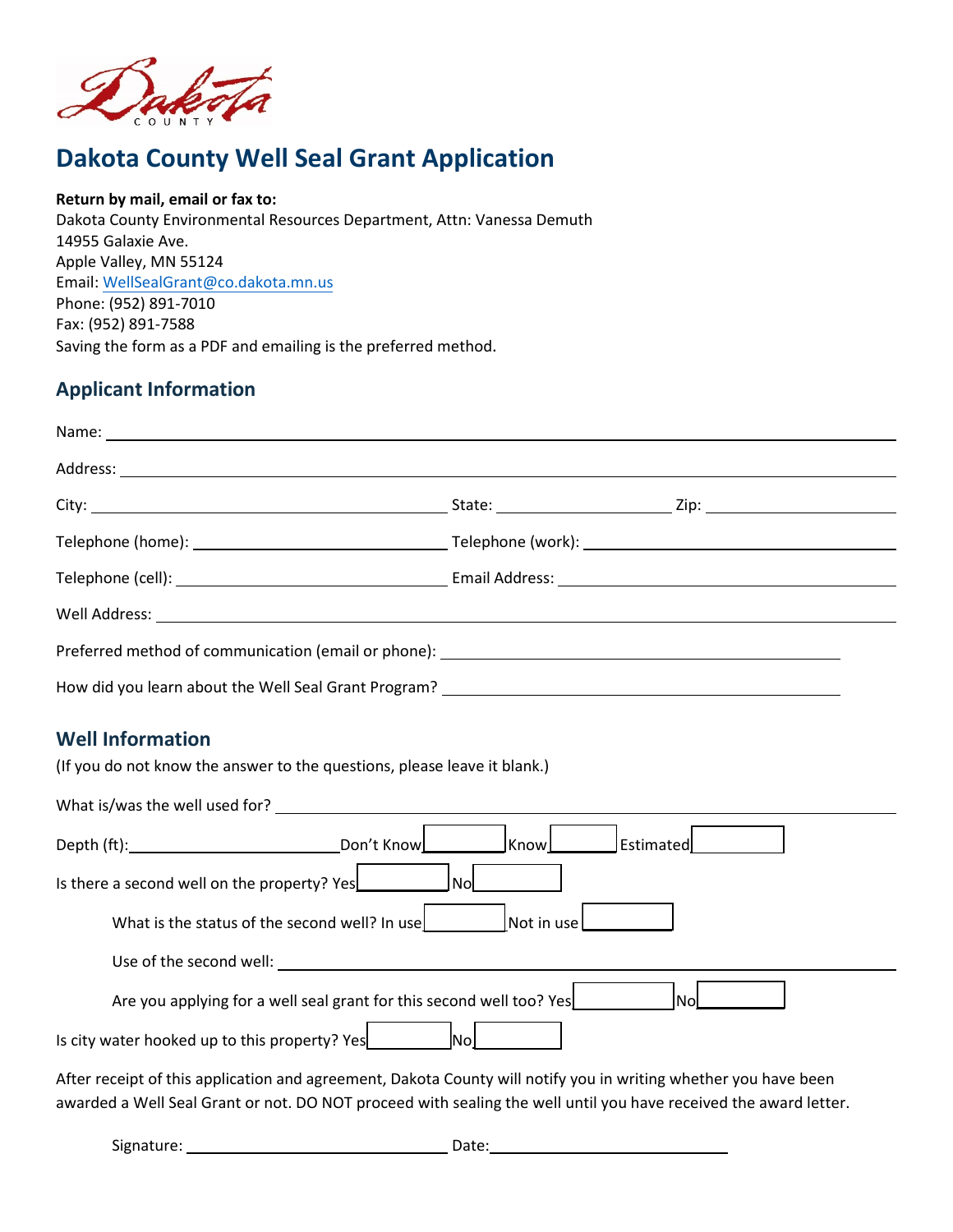

### **Dakota County Well Seal Grant Application**

#### **Return by mail, email or fax to:**

Dakota County Environmental Resources Department, Attn: Vanessa Demuth 14955 Galaxie Ave. Apple Valley, MN 55124 Email: [WellSealGrant@co.dakota.mn.us](mailto:WellSealGrant@co.dakota.mn.us)  Phone: (952) 891-7010 Fax: (952) 891-7588 Saving the form as a PDF and emailing is the preferred method.

### **Applicant Information**

| Address: <u>Address:</u> Address: Address: Address: Address: Address: Address: Address: Address: Address: Address: Address: Address: Address: Address: Address: Address: Address: Address: Address: Address: Address: Address: Addr |                    |           |
|-------------------------------------------------------------------------------------------------------------------------------------------------------------------------------------------------------------------------------------|--------------------|-----------|
|                                                                                                                                                                                                                                     |                    |           |
|                                                                                                                                                                                                                                     |                    |           |
|                                                                                                                                                                                                                                     |                    |           |
|                                                                                                                                                                                                                                     |                    |           |
|                                                                                                                                                                                                                                     |                    |           |
|                                                                                                                                                                                                                                     |                    |           |
| <b>Well Information</b>                                                                                                                                                                                                             |                    |           |
| (If you do not know the answer to the questions, please leave it blank.)                                                                                                                                                            |                    |           |
|                                                                                                                                                                                                                                     |                    |           |
|                                                                                                                                                                                                                                     | KnowL              | Estimated |
| Is there a second well on the property? Yes<br> Nol                                                                                                                                                                                 |                    |           |
| What is the status of the second well? In use                                                                                                                                                                                       | Not in use         |           |
| Use of the second well: Use of the second well:                                                                                                                                                                                     |                    |           |
| Are you applying for a well seal grant for this second well too? Yes                                                                                                                                                                |                    | <b>No</b> |
| Is city water hooked up to this property? Yes                                                                                                                                                                                       | $\vert$ No $\vert$ |           |
| After receipt of this application and agreement, Dakota County will notify you in writing whether you have been<br>awarded a Well Seal Grant or not. DO NOT proceed with sealing the well until you have received the award letter. |                    |           |

Signature: Date: